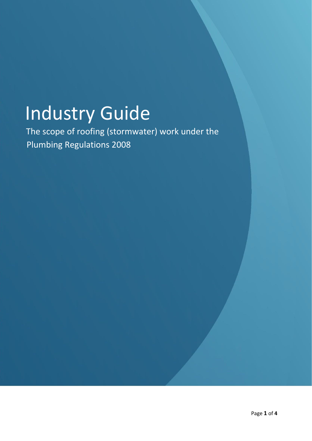# Industry Guide

The scope of roofing (stormwater) work under the Plumbing Regulations 2008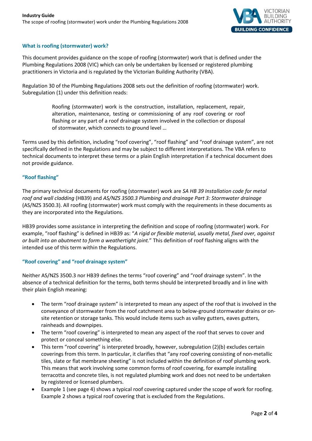

## **What is roofing (stormwater) work?**

This document provides guidance on the scope of roofing (stormwater) work that is defined under the Plumbing Regulations 2008 (VIC) which can only be undertaken by licensed or registered plumbing practitioners in Victoria and is regulated by the Victorian Building Authority (VBA).

Regulation 30 of the Plumbing Regulations 2008 sets out the definition of roofing (stormwater) work. Subregulation (1) under this definition reads:

> Roofing (stormwater) work is the construction, installation, replacement, repair, alteration, maintenance, testing or commissioning of any roof covering or roof flashing or any part of a roof drainage system involved in the collection or disposal of stormwater, which connects to ground level …

Terms used by this definition, including "roof covering", "roof flashing" and "roof drainage system", are not specifically defined in the Regulations and may be subject to different interpretations. The VBA refers to technical documents to interpret these terms or a plain English interpretation if a technical document does not provide guidance.

## **"Roof flashing"**

The primary technical documents for roofing (stormwater) work are *SA HB 39 Installation code for metal roof and wall cladding* (HB39) and *AS/NZS 3500.3 Plumbing and drainage Part 3: Stormwater drainage* (AS/NZS 3500.3). All roofing (stormwater) work must comply with the requirements in these documents as they are incorporated into the Regulations.

HB39 provides some assistance in interpreting the definition and scope of roofing (stormwater) work. For example, "roof flashing" is defined in HB39 as: "*A rigid or flexible material, usually metal, fixed over, against or built into an abutment to form a weathertight joint.*" This definition of roof flashing aligns with the intended use of this term within the Regulations.

#### **"Roof covering" and "roof drainage system"**

Neither AS/NZS 3500.3 nor HB39 defines the terms "roof covering" and "roof drainage system". In the absence of a technical definition for the terms, both terms should be interpreted broadly and in line with their plain English meaning:

- The term "roof drainage system" is interpreted to mean any aspect of the roof that is involved in the conveyance of stormwater from the roof catchment area to below-ground stormwater drains or onsite retention or storage tanks. This would include items such as valley gutters, eaves gutters, rainheads and downpipes.
- The term "roof covering" is interpreted to mean any aspect of the roof that serves to cover and protect or conceal something else.
- This term "roof covering" is interpreted broadly, however, subregulation (2)(b) excludes certain coverings from this term. In particular, it clarifies that "any roof covering consisting of non-metallic tiles, slate or flat membrane sheeting" is not included within the definition of roof plumbing work. This means that work involving some common forms of roof covering, for example installing terracotta and concrete tiles, is not regulated plumbing work and does not need to be undertaken by registered or licensed plumbers.
- Example 1 (see page 4) shows a typical roof covering captured under the scope of work for roofing. Example 2 shows a typical roof covering that is excluded from the Regulations.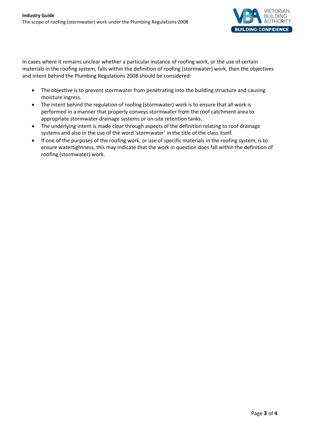

In cases where it remains unclear whether a particular instance of roofing work, or the use of certain materials in the roofing system, falls within the definition of roofing (stormwater) work, then the objectives and intent behind the Plumbing Regulations 2008 should be considered:

- The objective is to prevent stormwater from penetrating into the building structure and causing moisture ingress.
- The intent behind the regulation of roofing (stormwater) work is to ensure that all work is performed in a manner that properly conveys stormwater from the roof catchment area to appropriate stormwater drainage systems or on-site retention tanks.
- The underlying intent is made clear through aspects of the definition relating to roof drainage systems and also in the use of the word 'stormwater' in the title of the class itself.
- If one of the purposes of the roofing work, or use of specific materials in the roofing system, is to ensure watertightness, this may indicate that the work in question does fall within the definition of roofing (stormwater) work.